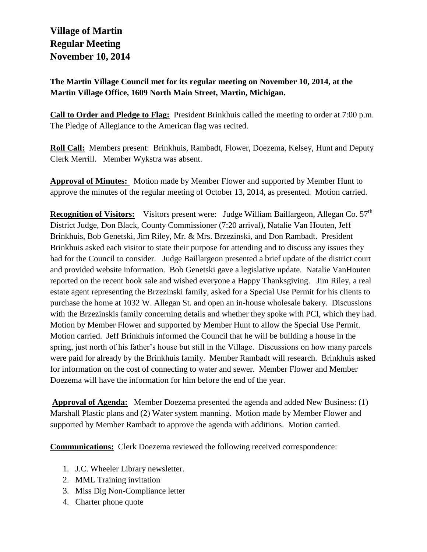## **Village of Martin Regular Meeting November 10, 2014**

**The Martin Village Council met for its regular meeting on November 10, 2014, at the Martin Village Office, 1609 North Main Street, Martin, Michigan.**

**Call to Order and Pledge to Flag:** President Brinkhuis called the meeting to order at 7:00 p.m. The Pledge of Allegiance to the American flag was recited.

**Roll Call:** Members present: Brinkhuis, Rambadt, Flower, Doezema, Kelsey, Hunt and Deputy Clerk Merrill. Member Wykstra was absent.

**Approval of Minutes:** Motion made by Member Flower and supported by Member Hunt to approve the minutes of the regular meeting of October 13, 2014, as presented. Motion carried.

**Recognition of Visitors:** Visitors present were: Judge William Baillargeon, Allegan Co. 57<sup>th</sup> District Judge, Don Black, County Commissioner (7:20 arrival), Natalie Van Houten, Jeff Brinkhuis, Bob Genetski, Jim Riley, Mr. & Mrs. Brzezinski, and Don Rambadt. President Brinkhuis asked each visitor to state their purpose for attending and to discuss any issues they had for the Council to consider. Judge Baillargeon presented a brief update of the district court and provided website information. Bob Genetski gave a legislative update. Natalie VanHouten reported on the recent book sale and wished everyone a Happy Thanksgiving. Jim Riley, a real estate agent representing the Brzezinski family, asked for a Special Use Permit for his clients to purchase the home at 1032 W. Allegan St. and open an in-house wholesale bakery. Discussions with the Brzezinskis family concerning details and whether they spoke with PCI, which they had. Motion by Member Flower and supported by Member Hunt to allow the Special Use Permit. Motion carried. Jeff Brinkhuis informed the Council that he will be building a house in the spring, just north of his father's house but still in the Village. Discussions on how many parcels were paid for already by the Brinkhuis family. Member Rambadt will research. Brinkhuis asked for information on the cost of connecting to water and sewer. Member Flower and Member Doezema will have the information for him before the end of the year.

**Approval of Agenda:** Member Doezema presented the agenda and added New Business: (1) Marshall Plastic plans and (2) Water system manning. Motion made by Member Flower and supported by Member Rambadt to approve the agenda with additions. Motion carried.

**Communications:** Clerk Doezema reviewed the following received correspondence:

- 1. J.C. Wheeler Library newsletter.
- 2. MML Training invitation
- 3. Miss Dig Non-Compliance letter
- 4. Charter phone quote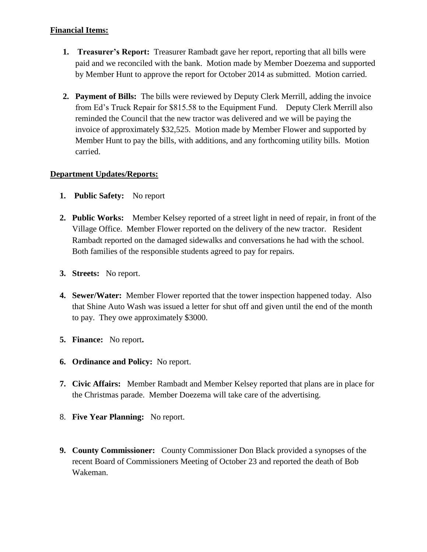- **1. Treasurer's Report:** Treasurer Rambadt gave her report, reporting that all bills were paid and we reconciled with the bank. Motion made by Member Doezema and supported by Member Hunt to approve the report for October 2014 as submitted. Motion carried.
- **2. Payment of Bills:** The bills were reviewed by Deputy Clerk Merrill, adding the invoice from Ed's Truck Repair for \$815.58 to the Equipment Fund. Deputy Clerk Merrill also reminded the Council that the new tractor was delivered and we will be paying the invoice of approximately \$32,525. Motion made by Member Flower and supported by Member Hunt to pay the bills, with additions, and any forthcoming utility bills. Motion carried.

## **Department Updates/Reports:**

- **1. Public Safety:** No report
- **2. Public Works:** Member Kelsey reported of a street light in need of repair, in front of the Village Office. Member Flower reported on the delivery of the new tractor. Resident Rambadt reported on the damaged sidewalks and conversations he had with the school. Both families of the responsible students agreed to pay for repairs.
- **3. Streets:** No report.
- **4. Sewer/Water:** Member Flower reported that the tower inspection happened today. Also that Shine Auto Wash was issued a letter for shut off and given until the end of the month to pay. They owe approximately \$3000.
- **5. Finance:** No report**.**
- **6. Ordinance and Policy:** No report.
- **7. Civic Affairs:** Member Rambadt and Member Kelsey reported that plans are in place for the Christmas parade. Member Doezema will take care of the advertising.
- 8. **Five Year Planning:** No report.
- **9. County Commissioner:** County Commissioner Don Black provided a synopses of the recent Board of Commissioners Meeting of October 23 and reported the death of Bob Wakeman.